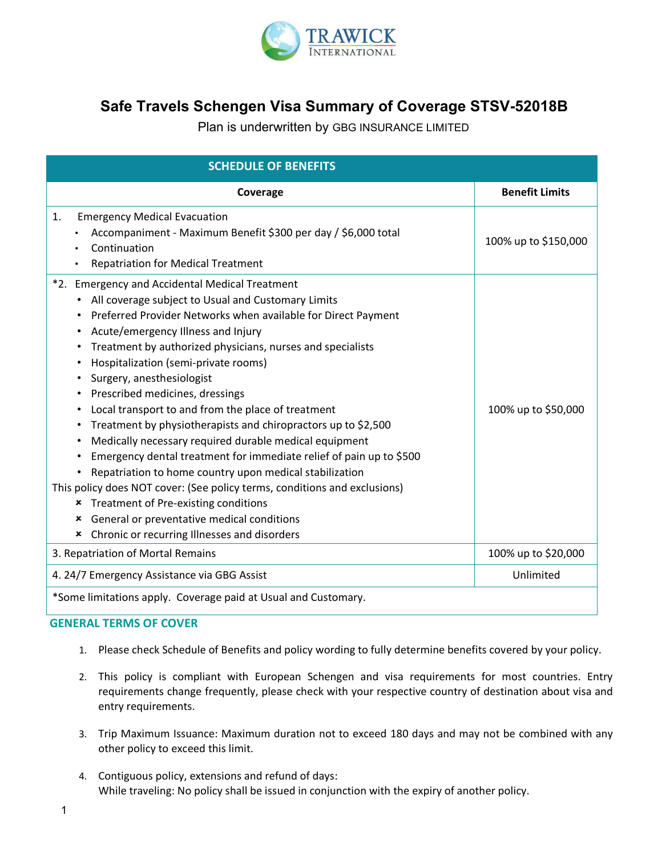

# **Safe Travels Schengen Visa Summary of Coverage STSV-52018B**

Plan is underwritten by GBG INSURANCE LIMITED

| <b>SCHEDULE OF BENEFITS</b>                                                                                                                                                                                                                                                                                                                                                                                                                                                                                                                                                                                                                                                                                                                                                                                                                                                                                                                                          |                       |
|----------------------------------------------------------------------------------------------------------------------------------------------------------------------------------------------------------------------------------------------------------------------------------------------------------------------------------------------------------------------------------------------------------------------------------------------------------------------------------------------------------------------------------------------------------------------------------------------------------------------------------------------------------------------------------------------------------------------------------------------------------------------------------------------------------------------------------------------------------------------------------------------------------------------------------------------------------------------|-----------------------|
| Coverage                                                                                                                                                                                                                                                                                                                                                                                                                                                                                                                                                                                                                                                                                                                                                                                                                                                                                                                                                             | <b>Benefit Limits</b> |
| <b>Emergency Medical Evacuation</b><br>1.<br>Accompaniment - Maximum Benefit \$300 per day / \$6,000 total<br>Continuation<br><b>Repatriation for Medical Treatment</b>                                                                                                                                                                                                                                                                                                                                                                                                                                                                                                                                                                                                                                                                                                                                                                                              | 100% up to \$150,000  |
| *2. Emergency and Accidental Medical Treatment<br>All coverage subject to Usual and Customary Limits<br>Preferred Provider Networks when available for Direct Payment<br>Acute/emergency Illness and Injury<br>Treatment by authorized physicians, nurses and specialists<br>٠<br>Hospitalization (semi-private rooms)<br>٠<br>Surgery, anesthesiologist<br>٠<br>Prescribed medicines, dressings<br>Local transport to and from the place of treatment<br>٠<br>Treatment by physiotherapists and chiropractors up to \$2,500<br>٠<br>Medically necessary required durable medical equipment<br>٠<br>Emergency dental treatment for immediate relief of pain up to \$500<br>Repatriation to home country upon medical stabilization<br>This policy does NOT cover: (See policy terms, conditions and exclusions)<br>Treatment of Pre-existing conditions<br>×<br>General or preventative medical conditions<br>×<br>Chronic or recurring Illnesses and disorders<br>× | 100% up to \$50,000   |
| 3. Repatriation of Mortal Remains                                                                                                                                                                                                                                                                                                                                                                                                                                                                                                                                                                                                                                                                                                                                                                                                                                                                                                                                    | 100% up to \$20,000   |
| 4. 24/7 Emergency Assistance via GBG Assist                                                                                                                                                                                                                                                                                                                                                                                                                                                                                                                                                                                                                                                                                                                                                                                                                                                                                                                          | Unlimited             |
| *Some limitations apply. Coverage paid at Usual and Customary.                                                                                                                                                                                                                                                                                                                                                                                                                                                                                                                                                                                                                                                                                                                                                                                                                                                                                                       |                       |

#### **GENERAL TERMS OF COVER**

- 1. Please check Schedule of Benefits and policy wording to fully determine benefits covered by your policy.
- 2. This policy is compliant with European Schengen and visa requirements for most countries. Entry requirements change frequently, please check with your respective country of destination about visa and entry requirements.
- 3. Trip Maximum Issuance: Maximum duration not to exceed 180 days and may not be combined with any other policy to exceed this limit.
- 4. Contiguous policy, extensions and refund of days: While traveling: No policy shall be issued in conjunction with the expiry of another policy.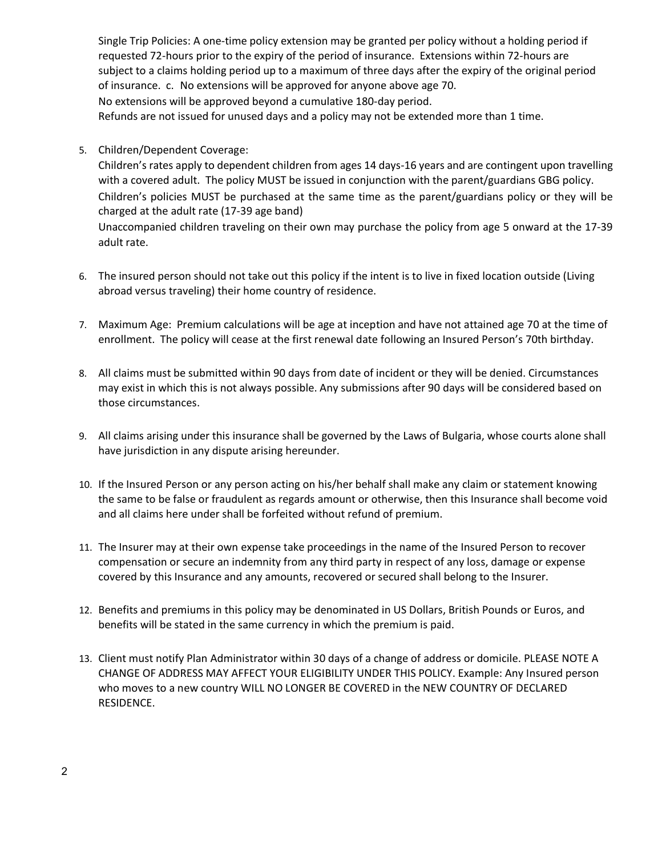Single Trip Policies: A one-time policy extension may be granted per policy without a holding period if requested 72-hours prior to the expiry of the period of insurance. Extensions within 72-hours are subject to a claims holding period up to a maximum of three days after the expiry of the original period of insurance. c. No extensions will be approved for anyone above age 70. No extensions will be approved beyond a cumulative 180-day period. Refunds are not issued for unused days and a policy may not be extended more than 1 time.

5. Children/Dependent Coverage:

Children's rates apply to dependent children from ages 14 days-16 years and are contingent upon travelling with a covered adult. The policy MUST be issued in conjunction with the parent/guardians GBG policy. Children's policies MUST be purchased at the same time as the parent/guardians policy or they will be charged at the adult rate (17-39 age band)

Unaccompanied children traveling on their own may purchase the policy from age 5 onward at the 17-39 adult rate.

- 6. The insured person should not take out this policy if the intent is to live in fixed location outside (Living abroad versus traveling) their home country of residence.
- 7. Maximum Age: Premium calculations will be age at inception and have not attained age 70 at the time of enrollment. The policy will cease at the first renewal date following an Insured Person's 70th birthday.
- 8. All claims must be submitted within 90 days from date of incident or they will be denied. Circumstances may exist in which this is not always possible. Any submissions after 90 days will be considered based on those circumstances.
- 9. All claims arising under this insurance shall be governed by the Laws of Bulgaria, whose courts alone shall have jurisdiction in any dispute arising hereunder.
- 10. If the Insured Person or any person acting on his/her behalf shall make any claim or statement knowing the same to be false or fraudulent as regards amount or otherwise, then this Insurance shall become void and all claims here under shall be forfeited without refund of premium.
- 11. The Insurer may at their own expense take proceedings in the name of the Insured Person to recover compensation or secure an indemnity from any third party in respect of any loss, damage or expense covered by this Insurance and any amounts, recovered or secured shall belong to the Insurer.
- 12. Benefits and premiums in this policy may be denominated in US Dollars, British Pounds or Euros, and benefits will be stated in the same currency in which the premium is paid.
- 13. Client must notify Plan Administrator within 30 days of a change of address or domicile. PLEASE NOTE A CHANGE OF ADDRESS MAY AFFECT YOUR ELIGIBILITY UNDER THIS POLICY. Example: Any Insured person who moves to a new country WILL NO LONGER BE COVERED in the NEW COUNTRY OF DECLARED RESIDENCE.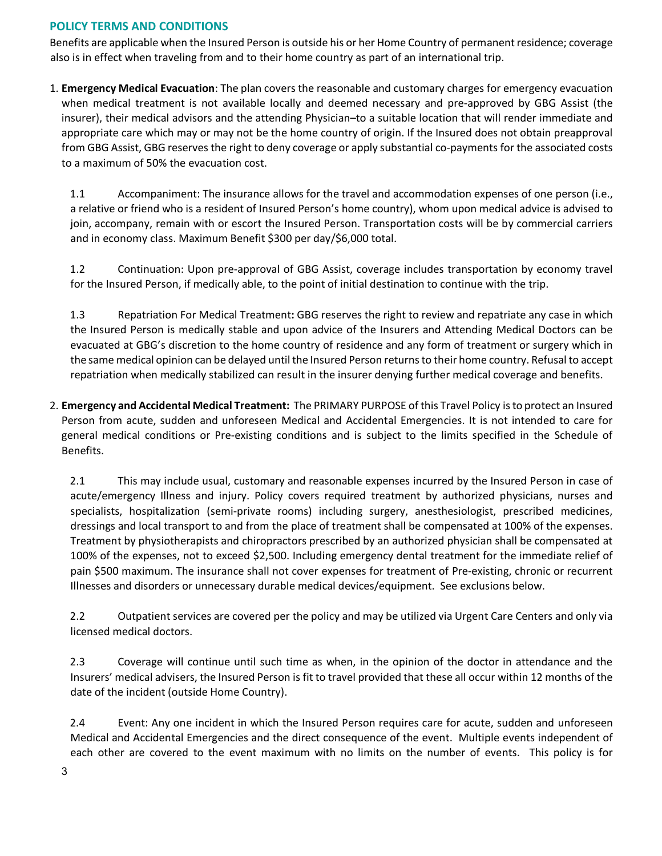# **POLICY TERMS AND CONDITIONS**

Benefits are applicable when the Insured Person is outside his or her Home Country of permanent residence; coverage also is in effect when traveling from and to their home country as part of an international trip.

1. **Emergency Medical Evacuation**: The plan covers the reasonable and customary charges for emergency evacuation when medical treatment is not available locally and deemed necessary and pre-approved by GBG Assist (the insurer), their medical advisors and the attending Physician–to a suitable location that will render immediate and appropriate care which may or may not be the home country of origin. If the Insured does not obtain preapproval from GBG Assist, GBG reserves the right to deny coverage or apply substantial co-payments for the associated costs to a maximum of 50% the evacuation cost.

1.1 Accompaniment: The insurance allows for the travel and accommodation expenses of one person (i.e., a relative or friend who is a resident of Insured Person's home country), whom upon medical advice is advised to join, accompany, remain with or escort the Insured Person. Transportation costs will be by commercial carriers and in economy class. Maximum Benefit \$300 per day/\$6,000 total.

1.2 Continuation: Upon pre-approval of GBG Assist, coverage includes transportation by economy travel for the Insured Person, if medically able, to the point of initial destination to continue with the trip.

1.3 Repatriation For Medical Treatment**:** GBG reserves the right to review and repatriate any case in which the Insured Person is medically stable and upon advice of the Insurers and Attending Medical Doctors can be evacuated at GBG's discretion to the home country of residence and any form of treatment or surgery which in the same medical opinion can be delayed until the Insured Person returns to their home country. Refusal to accept repatriation when medically stabilized can result in the insurer denying further medical coverage and benefits.

2. **Emergency and Accidental Medical Treatment:** The PRIMARY PURPOSE of this Travel Policy is to protect an Insured Person from acute, sudden and unforeseen Medical and Accidental Emergencies. It is not intended to care for general medical conditions or Pre-existing conditions and is subject to the limits specified in the Schedule of Benefits.

2.1 This may include usual, customary and reasonable expenses incurred by the Insured Person in case of acute/emergency Illness and injury. Policy covers required treatment by authorized physicians, nurses and specialists, hospitalization (semi-private rooms) including surgery, anesthesiologist, prescribed medicines, dressings and local transport to and from the place of treatment shall be compensated at 100% of the expenses. Treatment by physiotherapists and chiropractors prescribed by an authorized physician shall be compensated at 100% of the expenses, not to exceed \$2,500. Including emergency dental treatment for the immediate relief of pain \$500 maximum. The insurance shall not cover expenses for treatment of Pre-existing, chronic or recurrent Illnesses and disorders or unnecessary durable medical devices/equipment. See exclusions below.

2.2 Outpatient services are covered per the policy and may be utilized via Urgent Care Centers and only via licensed medical doctors.

2.3 Coverage will continue until such time as when, in the opinion of the doctor in attendance and the Insurers' medical advisers, the Insured Person is fit to travel provided that these all occur within 12 months of the date of the incident (outside Home Country).

2.4 Event: Any one incident in which the Insured Person requires care for acute, sudden and unforeseen Medical and Accidental Emergencies and the direct consequence of the event. Multiple events independent of each other are covered to the event maximum with no limits on the number of events. This policy is for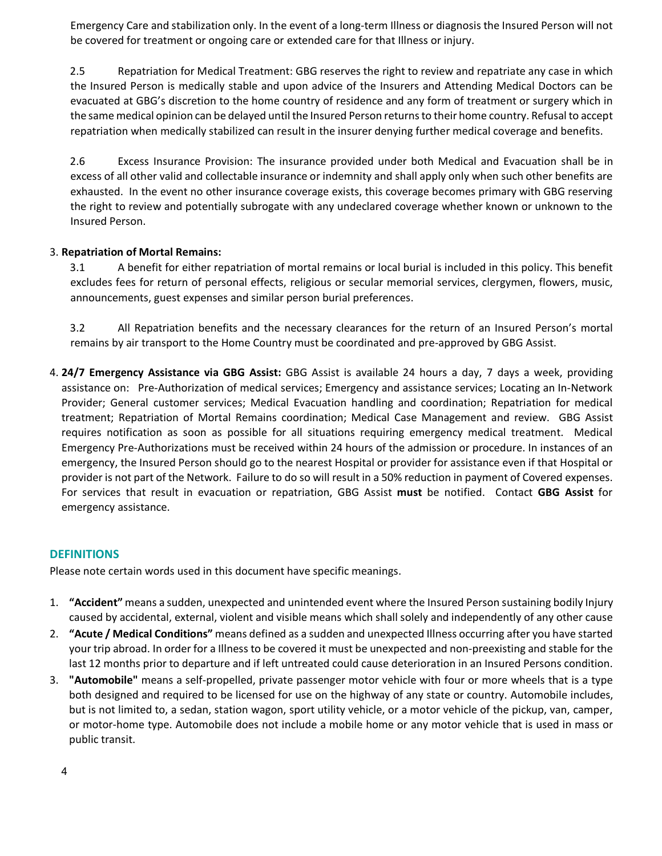Emergency Care and stabilization only. In the event of a long-term Illness or diagnosis the Insured Person will not be covered for treatment or ongoing care or extended care for that Illness or injury.

2.5 Repatriation for Medical Treatment: GBG reserves the right to review and repatriate any case in which the Insured Person is medically stable and upon advice of the Insurers and Attending Medical Doctors can be evacuated at GBG's discretion to the home country of residence and any form of treatment or surgery which in the same medical opinion can be delayed until the Insured Person returns to their home country. Refusal to accept repatriation when medically stabilized can result in the insurer denying further medical coverage and benefits.

2.6 Excess Insurance Provision: The insurance provided under both Medical and Evacuation shall be in excess of all other valid and collectable insurance or indemnity and shall apply only when such other benefits are exhausted. In the event no other insurance coverage exists, this coverage becomes primary with GBG reserving the right to review and potentially subrogate with any undeclared coverage whether known or unknown to the Insured Person.

# 3. **Repatriation of Mortal Remains:**

3.1 A benefit for either repatriation of mortal remains or local burial is included in this policy. This benefit excludes fees for return of personal effects, religious or secular memorial services, clergymen, flowers, music, announcements, guest expenses and similar person burial preferences.

3.2 All Repatriation benefits and the necessary clearances for the return of an Insured Person's mortal remains by air transport to the Home Country must be coordinated and pre-approved by GBG Assist.

4. **24/7 Emergency Assistance via GBG Assist:** GBG Assist is available 24 hours a day, 7 days a week, providing assistance on: Pre-Authorization of medical services; Emergency and assistance services; Locating an In-Network Provider; General customer services; Medical Evacuation handling and coordination; Repatriation for medical treatment; Repatriation of Mortal Remains coordination; Medical Case Management and review. GBG Assist requires notification as soon as possible for all situations requiring emergency medical treatment. Medical Emergency Pre-Authorizations must be received within 24 hours of the admission or procedure. In instances of an emergency, the Insured Person should go to the nearest Hospital or provider for assistance even if that Hospital or provider is not part of the Network. Failure to do so will result in a 50% reduction in payment of Covered expenses. For services that result in evacuation or repatriation, GBG Assist **must** be notified. Contact **GBG Assist** for emergency assistance.

# **DEFINITIONS**

Please note certain words used in this document have specific meanings.

- 1. **"Accident"** means a sudden, unexpected and unintended event where the Insured Person sustaining bodily Injury caused by accidental, external, violent and visible means which shall solely and independently of any other cause
- 2. **"Acute / Medical Conditions"** means defined as a sudden and unexpected Illness occurring after you have started your trip abroad. In order for a Illness to be covered it must be unexpected and non-preexisting and stable for the last 12 months prior to departure and if left untreated could cause deterioration in an Insured Persons condition.
- 3. **"Automobile"** means a self-propelled, private passenger motor vehicle with four or more wheels that is a type both designed and required to be licensed for use on the highway of any state or country. Automobile includes, but is not limited to, a sedan, station wagon, sport utility vehicle, or a motor vehicle of the pickup, van, camper, or motor-home type. Automobile does not include a mobile home or any motor vehicle that is used in mass or public transit.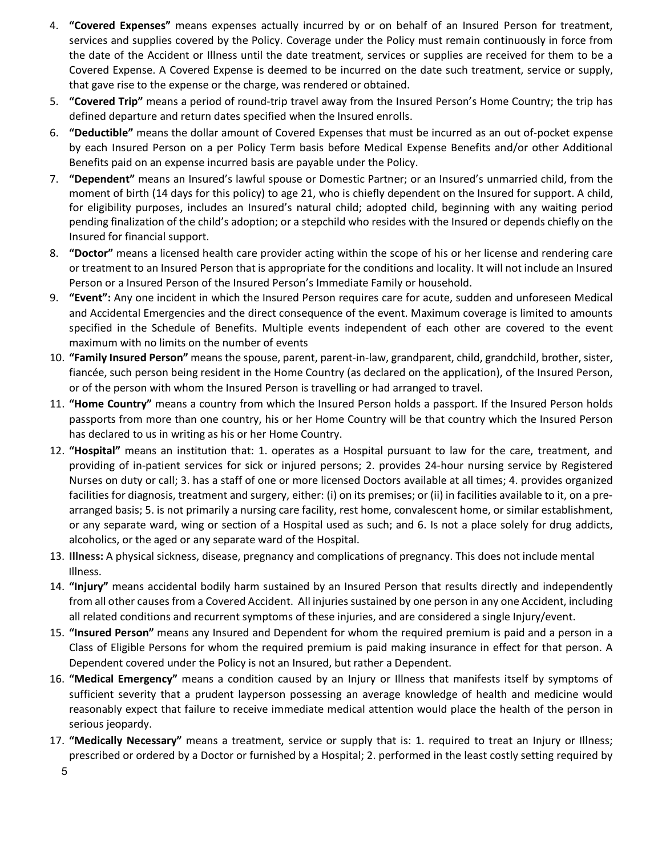- 4. **"Covered Expenses"** means expenses actually incurred by or on behalf of an Insured Person for treatment, services and supplies covered by the Policy. Coverage under the Policy must remain continuously in force from the date of the Accident or Illness until the date treatment, services or supplies are received for them to be a Covered Expense. A Covered Expense is deemed to be incurred on the date such treatment, service or supply, that gave rise to the expense or the charge, was rendered or obtained.
- 5. **"Covered Trip"** means a period of round-trip travel away from the Insured Person's Home Country; the trip has defined departure and return dates specified when the Insured enrolls.
- 6. **"Deductible"** means the dollar amount of Covered Expenses that must be incurred as an out of-pocket expense by each Insured Person on a per Policy Term basis before Medical Expense Benefits and/or other Additional Benefits paid on an expense incurred basis are payable under the Policy.
- 7. **"Dependent"** means an Insured's lawful spouse or Domestic Partner; or an Insured's unmarried child, from the moment of birth (14 days for this policy) to age 21, who is chiefly dependent on the Insured for support. A child, for eligibility purposes, includes an Insured's natural child; adopted child, beginning with any waiting period pending finalization of the child's adoption; or a stepchild who resides with the Insured or depends chiefly on the Insured for financial support.
- 8. **"Doctor"** means a licensed health care provider acting within the scope of his or her license and rendering care or treatment to an Insured Person that is appropriate for the conditions and locality. It will not include an Insured Person or a Insured Person of the Insured Person's Immediate Family or household.
- 9. **"Event":** Any one incident in which the Insured Person requires care for acute, sudden and unforeseen Medical and Accidental Emergencies and the direct consequence of the event. Maximum coverage is limited to amounts specified in the Schedule of Benefits. Multiple events independent of each other are covered to the event maximum with no limits on the number of events
- 10. **"Family Insured Person"** means the spouse, parent, parent-in-law, grandparent, child, grandchild, brother, sister, fiancée, such person being resident in the Home Country (as declared on the application), of the Insured Person, or of the person with whom the Insured Person is travelling or had arranged to travel.
- 11. **"Home Country"** means a country from which the Insured Person holds a passport. If the Insured Person holds passports from more than one country, his or her Home Country will be that country which the Insured Person has declared to us in writing as his or her Home Country.
- 12. **"Hospital"** means an institution that: 1. operates as a Hospital pursuant to law for the care, treatment, and providing of in-patient services for sick or injured persons; 2. provides 24-hour nursing service by Registered Nurses on duty or call; 3. has a staff of one or more licensed Doctors available at all times; 4. provides organized facilities for diagnosis, treatment and surgery, either: (i) on its premises; or (ii) in facilities available to it, on a prearranged basis; 5. is not primarily a nursing care facility, rest home, convalescent home, or similar establishment, or any separate ward, wing or section of a Hospital used as such; and 6. Is not a place solely for drug addicts, alcoholics, or the aged or any separate ward of the Hospital.
- 13. **Illness:** A physical sickness, disease, pregnancy and complications of pregnancy. This does not include mental Illness.
- 14. **"Injury"** means accidental bodily harm sustained by an Insured Person that results directly and independently from all other causes from a Covered Accident. All injuries sustained by one person in any one Accident, including all related conditions and recurrent symptoms of these injuries, and are considered a single Injury/event.
- 15. **"Insured Person"** means any Insured and Dependent for whom the required premium is paid and a person in a Class of Eligible Persons for whom the required premium is paid making insurance in effect for that person. A Dependent covered under the Policy is not an Insured, but rather a Dependent.
- 16. **"Medical Emergency"** means a condition caused by an Injury or Illness that manifests itself by symptoms of sufficient severity that a prudent layperson possessing an average knowledge of health and medicine would reasonably expect that failure to receive immediate medical attention would place the health of the person in serious jeopardy.
- 17. **"Medically Necessary"** means a treatment, service or supply that is: 1. required to treat an Injury or Illness; prescribed or ordered by a Doctor or furnished by a Hospital; 2. performed in the least costly setting required by
	- 5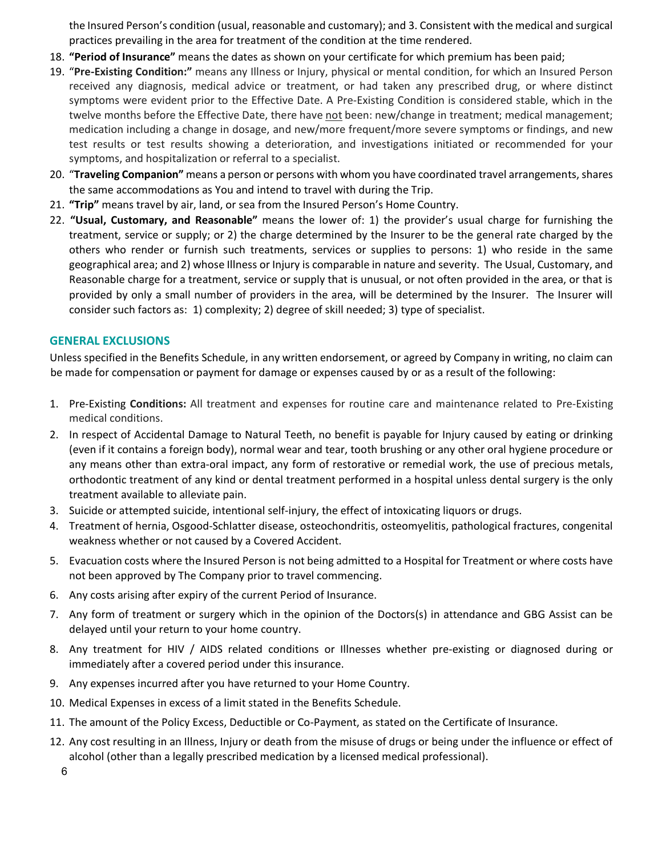the Insured Person's condition (usual, reasonable and customary); and 3. Consistent with the medical and surgical practices prevailing in the area for treatment of the condition at the time rendered.

- 18. **"Period of Insurance"** means the dates as shown on your certificate for which premium has been paid;
- 19. "**Pre-Existing Condition:"** means any Illness or Injury, physical or mental condition, for which an Insured Person received any diagnosis, medical advice or treatment, or had taken any prescribed drug, or where distinct symptoms were evident prior to the Effective Date. A Pre-Existing Condition is considered stable, which in the twelve months before the Effective Date, there have not been: new/change in treatment; medical management; medication including a change in dosage, and new/more frequent/more severe symptoms or findings, and new test results or test results showing a deterioration, and investigations initiated or recommended for your symptoms, and hospitalization or referral to a specialist.
- 20. "**Traveling Companion"** means a person or persons with whom you have coordinated travel arrangements, shares the same accommodations as You and intend to travel with during the Trip.
- 21. **"Trip"** means travel by air, land, or sea from the Insured Person's Home Country.
- 22. **"Usual, Customary, and Reasonable"** means the lower of: 1) the provider's usual charge for furnishing the treatment, service or supply; or 2) the charge determined by the Insurer to be the general rate charged by the others who render or furnish such treatments, services or supplies to persons: 1) who reside in the same geographical area; and 2) whose Illness or Injury is comparable in nature and severity. The Usual, Customary, and Reasonable charge for a treatment, service or supply that is unusual, or not often provided in the area, or that is provided by only a small number of providers in the area, will be determined by the Insurer. The Insurer will consider such factors as: 1) complexity; 2) degree of skill needed; 3) type of specialist.

# **GENERAL EXCLUSIONS**

Unless specified in the Benefits Schedule, in any written endorsement, or agreed by Company in writing, no claim can be made for compensation or payment for damage or expenses caused by or as a result of the following:

- 1. Pre-Existing **Conditions:** All treatment and expenses for routine care and maintenance related to Pre-Existing medical conditions.
- 2. In respect of Accidental Damage to Natural Teeth, no benefit is payable for Injury caused by eating or drinking (even if it contains a foreign body), normal wear and tear, tooth brushing or any other oral hygiene procedure or any means other than extra-oral impact, any form of restorative or remedial work, the use of precious metals, orthodontic treatment of any kind or dental treatment performed in a hospital unless dental surgery is the only treatment available to alleviate pain.
- 3. Suicide or attempted suicide, intentional self-injury, the effect of intoxicating liquors or drugs.
- 4. Treatment of hernia, Osgood-Schlatter disease, osteochondritis, osteomyelitis, pathological fractures, congenital weakness whether or not caused by a Covered Accident.
- 5. Evacuation costs where the Insured Person is not being admitted to a Hospital for Treatment or where costs have not been approved by The Company prior to travel commencing.
- 6. Any costs arising after expiry of the current Period of Insurance.
- 7. Any form of treatment or surgery which in the opinion of the Doctors(s) in attendance and GBG Assist can be delayed until your return to your home country.
- 8. Any treatment for HIV / AIDS related conditions or Illnesses whether pre-existing or diagnosed during or immediately after a covered period under this insurance.
- 9. Any expenses incurred after you have returned to your Home Country.
- 10. Medical Expenses in excess of a limit stated in the Benefits Schedule.
- 11. The amount of the Policy Excess, Deductible or Co-Payment, as stated on the Certificate of Insurance.
- 12. Any cost resulting in an Illness, Injury or death from the misuse of drugs or being under the influence or effect of alcohol (other than a legally prescribed medication by a licensed medical professional).
	- 6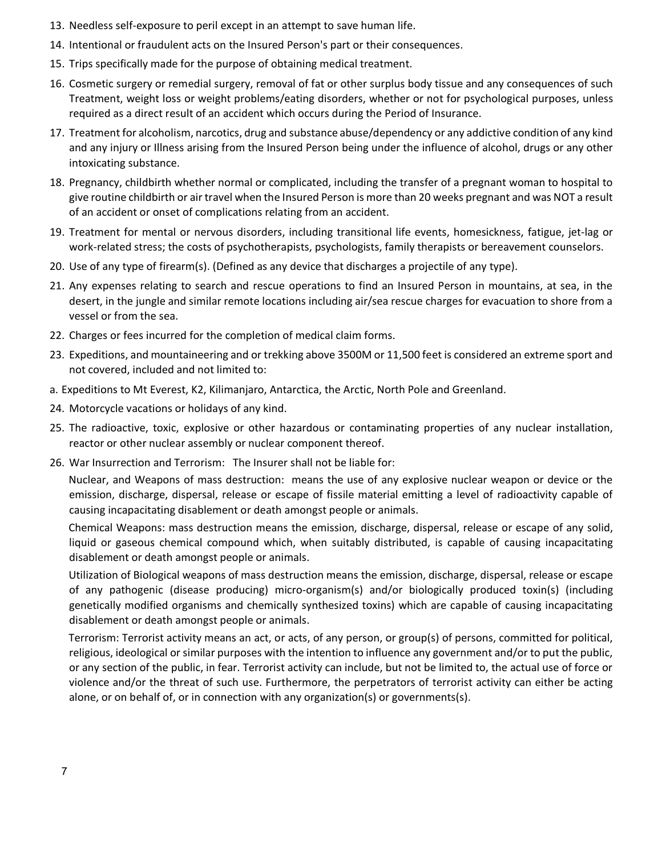- 13. Needless self-exposure to peril except in an attempt to save human life.
- 14. Intentional or fraudulent acts on the Insured Person's part or their consequences.
- 15. Trips specifically made for the purpose of obtaining medical treatment.
- 16. Cosmetic surgery or remedial surgery, removal of fat or other surplus body tissue and any consequences of such Treatment, weight loss or weight problems/eating disorders, whether or not for psychological purposes, unless required as a direct result of an accident which occurs during the Period of Insurance.
- 17. Treatment for alcoholism, narcotics, drug and substance abuse/dependency or any addictive condition of any kind and any injury or Illness arising from the Insured Person being under the influence of alcohol, drugs or any other intoxicating substance.
- 18. Pregnancy, childbirth whether normal or complicated, including the transfer of a pregnant woman to hospital to give routine childbirth or air travel when the Insured Person is more than 20 weeks pregnant and was NOT a result of an accident or onset of complications relating from an accident.
- 19. Treatment for mental or nervous disorders, including transitional life events, homesickness, fatigue, jet-lag or work-related stress; the costs of psychotherapists, psychologists, family therapists or bereavement counselors.
- 20. Use of any type of firearm(s). (Defined as any device that discharges a projectile of any type).
- 21. Any expenses relating to search and rescue operations to find an Insured Person in mountains, at sea, in the desert, in the jungle and similar remote locations including air/sea rescue charges for evacuation to shore from a vessel or from the sea.
- 22. Charges or fees incurred for the completion of medical claim forms.
- 23. Expeditions, and mountaineering and or trekking above 3500M or 11,500 feet is considered an extreme sport and not covered, included and not limited to:
- a. Expeditions to Mt Everest, K2, Kilimanjaro, Antarctica, the Arctic, North Pole and Greenland.
- 24. Motorcycle vacations or holidays of any kind.
- 25. The radioactive, toxic, explosive or other hazardous or contaminating properties of any nuclear installation, reactor or other nuclear assembly or nuclear component thereof.
- 26. War Insurrection and Terrorism: The Insurer shall not be liable for:

Nuclear, and Weapons of mass destruction: means the use of any explosive nuclear weapon or device or the emission, discharge, dispersal, release or escape of fissile material emitting a level of radioactivity capable of causing incapacitating disablement or death amongst people or animals.

Chemical Weapons: mass destruction means the emission, discharge, dispersal, release or escape of any solid, liquid or gaseous chemical compound which, when suitably distributed, is capable of causing incapacitating disablement or death amongst people or animals.

Utilization of Biological weapons of mass destruction means the emission, discharge, dispersal, release or escape of any pathogenic (disease producing) micro-organism(s) and/or biologically produced toxin(s) (including genetically modified organisms and chemically synthesized toxins) which are capable of causing incapacitating disablement or death amongst people or animals.

Terrorism: Terrorist activity means an act, or acts, of any person, or group(s) of persons, committed for political, religious, ideological or similar purposes with the intention to influence any government and/or to put the public, or any section of the public, in fear. Terrorist activity can include, but not be limited to, the actual use of force or violence and/or the threat of such use. Furthermore, the perpetrators of terrorist activity can either be acting alone, or on behalf of, or in connection with any organization(s) or governments(s).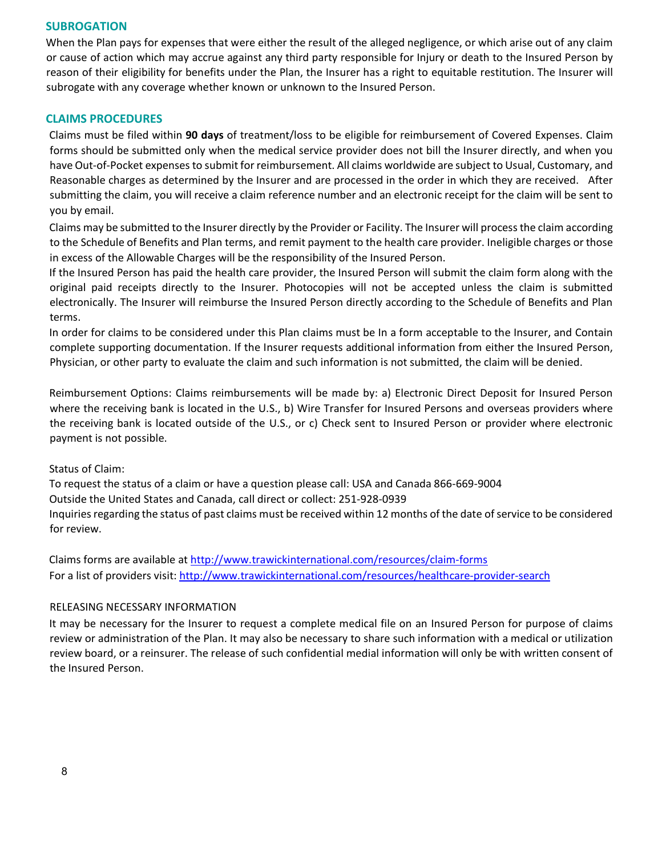### **SUBROGATION**

When the Plan pays for expenses that were either the result of the alleged negligence, or which arise out of any claim or cause of action which may accrue against any third party responsible for Injury or death to the Insured Person by reason of their eligibility for benefits under the Plan, the Insurer has a right to equitable restitution. The Insurer will subrogate with any coverage whether known or unknown to the Insured Person.

#### **CLAIMS PROCEDURES**

Claims must be filed within **90 days** of treatment/loss to be eligible for reimbursement of Covered Expenses. Claim forms should be submitted only when the medical service provider does not bill the Insurer directly, and when you have Out-of-Pocket expenses to submit for reimbursement. All claims worldwide are subject to Usual, Customary, and Reasonable charges as determined by the Insurer and are processed in the order in which they are received. After submitting the claim, you will receive a claim reference number and an electronic receipt for the claim will be sent to you by email.

Claims may be submitted to the Insurer directly by the Provider or Facility. The Insurer will process the claim according to the Schedule of Benefits and Plan terms, and remit payment to the health care provider. Ineligible charges or those in excess of the Allowable Charges will be the responsibility of the Insured Person.

If the Insured Person has paid the health care provider, the Insured Person will submit the claim form along with the original paid receipts directly to the Insurer. Photocopies will not be accepted unless the claim is submitted electronically. The Insurer will reimburse the Insured Person directly according to the Schedule of Benefits and Plan terms.

In order for claims to be considered under this Plan claims must be In a form acceptable to the Insurer, and Contain complete supporting documentation. If the Insurer requests additional information from either the Insured Person, Physician, or other party to evaluate the claim and such information is not submitted, the claim will be denied.

Reimbursement Options: Claims reimbursements will be made by: a) Electronic Direct Deposit for Insured Person where the receiving bank is located in the U.S., b) Wire Transfer for Insured Persons and overseas providers where the receiving bank is located outside of the U.S., or c) Check sent to Insured Person or provider where electronic payment is not possible.

#### Status of Claim:

To request the status of a claim or have a question please call: USA and Canada 866-669-9004 Outside the United States and Canada, call direct or collect: 251-928-0939 Inquiries regarding the status of past claims must be received within 12 months of the date of service to be considered for review.

Claims forms are available at<http://www.trawickinternational.com/resources/claim-forms> For a list of providers visit:<http://www.trawickinternational.com/resources/healthcare-provider-search>

#### RELEASING NECESSARY INFORMATION

It may be necessary for the Insurer to request a complete medical file on an Insured Person for purpose of claims review or administration of the Plan. It may also be necessary to share such information with a medical or utilization review board, or a reinsurer. The release of such confidential medial information will only be with written consent of the Insured Person.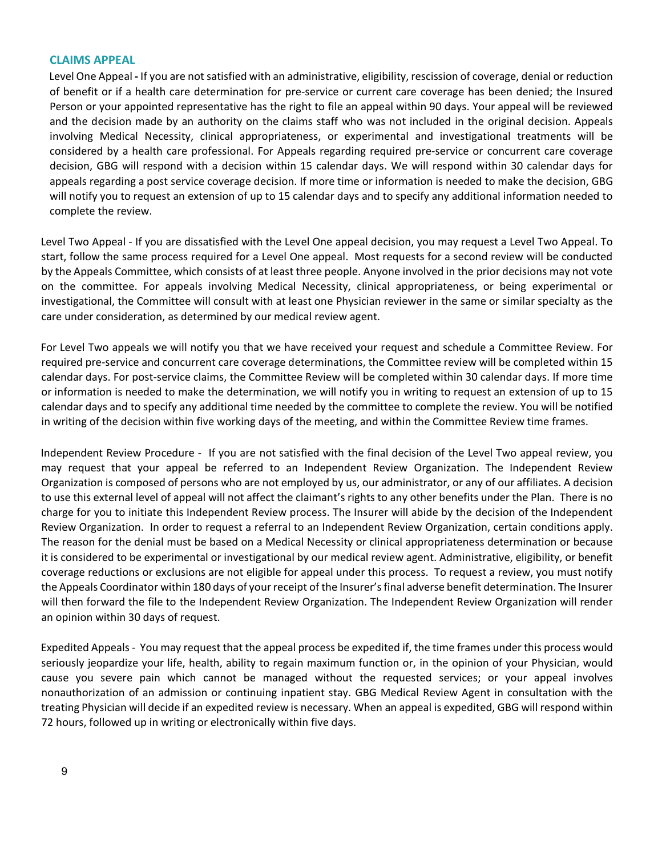#### **CLAIMS APPEAL**

Level One Appeal **-** If you are not satisfied with an administrative, eligibility, rescission of coverage, denial or reduction of benefit or if a health care determination for pre-service or current care coverage has been denied; the Insured Person or your appointed representative has the right to file an appeal within 90 days. Your appeal will be reviewed and the decision made by an authority on the claims staff who was not included in the original decision. Appeals involving Medical Necessity, clinical appropriateness, or experimental and investigational treatments will be considered by a health care professional. For Appeals regarding required pre-service or concurrent care coverage decision, GBG will respond with a decision within 15 calendar days. We will respond within 30 calendar days for appeals regarding a post service coverage decision. If more time or information is needed to make the decision, GBG will notify you to request an extension of up to 15 calendar days and to specify any additional information needed to complete the review.

Level Two Appeal - If you are dissatisfied with the Level One appeal decision, you may request a Level Two Appeal. To start, follow the same process required for a Level One appeal. Most requests for a second review will be conducted by the Appeals Committee, which consists of at least three people. Anyone involved in the prior decisions may not vote on the committee. For appeals involving Medical Necessity, clinical appropriateness, or being experimental or investigational, the Committee will consult with at least one Physician reviewer in the same or similar specialty as the care under consideration, as determined by our medical review agent.

For Level Two appeals we will notify you that we have received your request and schedule a Committee Review. For required pre-service and concurrent care coverage determinations, the Committee review will be completed within 15 calendar days. For post-service claims, the Committee Review will be completed within 30 calendar days. If more time or information is needed to make the determination, we will notify you in writing to request an extension of up to 15 calendar days and to specify any additional time needed by the committee to complete the review. You will be notified in writing of the decision within five working days of the meeting, and within the Committee Review time frames.

Independent Review Procedure - If you are not satisfied with the final decision of the Level Two appeal review, you may request that your appeal be referred to an Independent Review Organization. The Independent Review Organization is composed of persons who are not employed by us, our administrator, or any of our affiliates. A decision to use this external level of appeal will not affect the claimant's rights to any other benefits under the Plan. There is no charge for you to initiate this Independent Review process. The Insurer will abide by the decision of the Independent Review Organization. In order to request a referral to an Independent Review Organization, certain conditions apply. The reason for the denial must be based on a Medical Necessity or clinical appropriateness determination or because it is considered to be experimental or investigational by our medical review agent. Administrative, eligibility, or benefit coverage reductions or exclusions are not eligible for appeal under this process. To request a review, you must notify the Appeals Coordinator within 180 days of your receipt of the Insurer's final adverse benefit determination. The Insurer will then forward the file to the Independent Review Organization. The Independent Review Organization will render an opinion within 30 days of request.

Expedited Appeals - You may request that the appeal process be expedited if, the time frames under this process would seriously jeopardize your life, health, ability to regain maximum function or, in the opinion of your Physician, would cause you severe pain which cannot be managed without the requested services; or your appeal involves nonauthorization of an admission or continuing inpatient stay. GBG Medical Review Agent in consultation with the treating Physician will decide if an expedited review is necessary. When an appeal is expedited, GBG will respond within 72 hours, followed up in writing or electronically within five days.